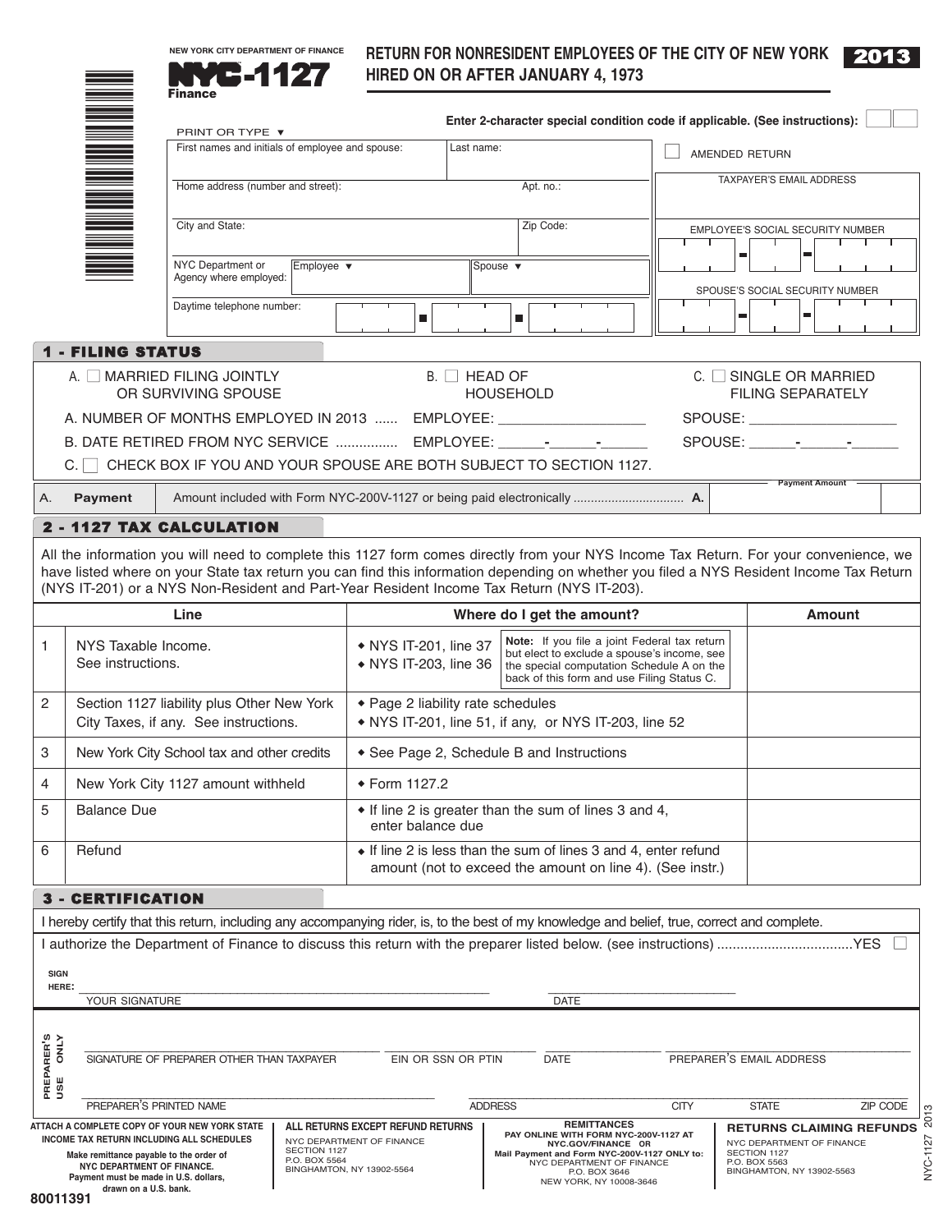



\*

# **RETURN FoR NoNRESIDENT EMPloyEES oF ThE CITy oF NEw yoRk** -1127 **hIRED oN oR AFTER JANUARy 4, <sup>1973</sup>**

|                                                                                                                                      |                                                                                                                                                                                                                                                                                                                                                                                                                                                                                                                                                                                                                                          | <b>Finance</b>                                    |            |                                                |                     |                                                                                                                                                                                        |                          |                                                                                                                                                                                                                                                                                   |  |
|--------------------------------------------------------------------------------------------------------------------------------------|------------------------------------------------------------------------------------------------------------------------------------------------------------------------------------------------------------------------------------------------------------------------------------------------------------------------------------------------------------------------------------------------------------------------------------------------------------------------------------------------------------------------------------------------------------------------------------------------------------------------------------------|---------------------------------------------------|------------|------------------------------------------------|---------------------|----------------------------------------------------------------------------------------------------------------------------------------------------------------------------------------|--------------------------|-----------------------------------------------------------------------------------------------------------------------------------------------------------------------------------------------------------------------------------------------------------------------------------|--|
|                                                                                                                                      | Enter 2-character special condition code if applicable. (See instructions):<br>PRINT OR TYPE ▼                                                                                                                                                                                                                                                                                                                                                                                                                                                                                                                                           |                                                   |            |                                                |                     |                                                                                                                                                                                        |                          |                                                                                                                                                                                                                                                                                   |  |
|                                                                                                                                      |                                                                                                                                                                                                                                                                                                                                                                                                                                                                                                                                                                                                                                          | First names and initials of employee and spouse:  |            |                                                | Last name:          |                                                                                                                                                                                        | AMENDED RETURN           |                                                                                                                                                                                                                                                                                   |  |
|                                                                                                                                      |                                                                                                                                                                                                                                                                                                                                                                                                                                                                                                                                                                                                                                          |                                                   |            |                                                |                     |                                                                                                                                                                                        | TAXPAYER'S EMAIL ADDRESS |                                                                                                                                                                                                                                                                                   |  |
|                                                                                                                                      | Home address (number and street):<br>Apt. no.:                                                                                                                                                                                                                                                                                                                                                                                                                                                                                                                                                                                           |                                                   |            |                                                |                     |                                                                                                                                                                                        |                          |                                                                                                                                                                                                                                                                                   |  |
|                                                                                                                                      | City and State:<br>Zip Code:                                                                                                                                                                                                                                                                                                                                                                                                                                                                                                                                                                                                             |                                                   |            |                                                |                     |                                                                                                                                                                                        |                          | EMPLOYEE'S SOCIAL SECURITY NUMBER                                                                                                                                                                                                                                                 |  |
|                                                                                                                                      |                                                                                                                                                                                                                                                                                                                                                                                                                                                                                                                                                                                                                                          |                                                   |            |                                                |                     |                                                                                                                                                                                        |                          | ш                                                                                                                                                                                                                                                                                 |  |
|                                                                                                                                      |                                                                                                                                                                                                                                                                                                                                                                                                                                                                                                                                                                                                                                          | NYC Department or<br>Agency where employed:       | Employee v |                                                |                     | Spouse $\blacktriangledown$                                                                                                                                                            |                          |                                                                                                                                                                                                                                                                                   |  |
|                                                                                                                                      |                                                                                                                                                                                                                                                                                                                                                                                                                                                                                                                                                                                                                                          | Daytime telephone number:                         |            |                                                |                     |                                                                                                                                                                                        |                          | SPOUSE'S SOCIAL SECURITY NUMBER<br>ш<br>ш                                                                                                                                                                                                                                         |  |
|                                                                                                                                      |                                                                                                                                                                                                                                                                                                                                                                                                                                                                                                                                                                                                                                          |                                                   |            | $\blacksquare$                                 |                     | ш                                                                                                                                                                                      |                          |                                                                                                                                                                                                                                                                                   |  |
|                                                                                                                                      | <b>1 - FILING STATUS</b>                                                                                                                                                                                                                                                                                                                                                                                                                                                                                                                                                                                                                 |                                                   |            |                                                |                     |                                                                                                                                                                                        |                          |                                                                                                                                                                                                                                                                                   |  |
|                                                                                                                                      |                                                                                                                                                                                                                                                                                                                                                                                                                                                                                                                                                                                                                                          | A. IMARRIED FILING JOINTLY<br>OR SURVIVING SPOUSE |            |                                                | $B.$ $\Box$ HEAD OF | <b>HOUSEHOLD</b>                                                                                                                                                                       |                          | $C.$ $\Box$ SINGLE OR MARRIED<br><b>FILING SEPARATELY</b>                                                                                                                                                                                                                         |  |
|                                                                                                                                      |                                                                                                                                                                                                                                                                                                                                                                                                                                                                                                                                                                                                                                          |                                                   |            |                                                |                     | A. NUMBER OF MONTHS EMPLOYED IN 2013  EMPLOYEE: __________________________                                                                                                             |                          | SPOUSE: ____________________                                                                                                                                                                                                                                                      |  |
|                                                                                                                                      |                                                                                                                                                                                                                                                                                                                                                                                                                                                                                                                                                                                                                                          |                                                   |            |                                                |                     | B. DATE RETIRED FROM NYC SERVICE  EMPLOYEE: ______-_____________                                                                                                                       |                          |                                                                                                                                                                                                                                                                                   |  |
|                                                                                                                                      |                                                                                                                                                                                                                                                                                                                                                                                                                                                                                                                                                                                                                                          |                                                   |            |                                                |                     | CHECK BOX IF YOU AND YOUR SPOUSE ARE BOTH SUBJECT TO SECTION 1127.                                                                                                                     |                          | - Payment Amount -                                                                                                                                                                                                                                                                |  |
| Α.                                                                                                                                   | <b>Payment</b>                                                                                                                                                                                                                                                                                                                                                                                                                                                                                                                                                                                                                           |                                                   |            |                                                |                     |                                                                                                                                                                                        |                          |                                                                                                                                                                                                                                                                                   |  |
|                                                                                                                                      |                                                                                                                                                                                                                                                                                                                                                                                                                                                                                                                                                                                                                                          | 2 - 1127 TAX CALCULATION                          |            |                                                |                     |                                                                                                                                                                                        |                          |                                                                                                                                                                                                                                                                                   |  |
|                                                                                                                                      |                                                                                                                                                                                                                                                                                                                                                                                                                                                                                                                                                                                                                                          |                                                   |            |                                                |                     | (NYS IT-201) or a NYS Non-Resident and Part-Year Resident Income Tax Return (NYS IT-203).                                                                                              |                          | All the information you will need to complete this 1127 form comes directly from your NYS Income Tax Return. For your convenience, we<br>have listed where on your State tax return you can find this information depending on whether you filed a NYS Resident Income Tax Return |  |
|                                                                                                                                      |                                                                                                                                                                                                                                                                                                                                                                                                                                                                                                                                                                                                                                          | Line                                              |            |                                                |                     | Where do I get the amount?                                                                                                                                                             |                          | <b>Amount</b>                                                                                                                                                                                                                                                                     |  |
| 1                                                                                                                                    | NYS Taxable Income.<br>See instructions.                                                                                                                                                                                                                                                                                                                                                                                                                                                                                                                                                                                                 |                                                   |            | • NYS IT-201, line 37<br>• NYS IT-203, line 36 |                     | Note: If you file a joint Federal tax return<br>but elect to exclude a spouse's income, see<br>the special computation Schedule A on the<br>back of this form and use Filing Status C. |                          |                                                                                                                                                                                                                                                                                   |  |
| 2                                                                                                                                    | Section 1127 liability plus Other New York<br>◆ Page 2 liability rate schedules<br>City Taxes, if any. See instructions.<br>• NYS IT-201, line 51, if any, or NYS IT-203, line 52                                                                                                                                                                                                                                                                                                                                                                                                                                                        |                                                   |            |                                                |                     |                                                                                                                                                                                        |                          |                                                                                                                                                                                                                                                                                   |  |
| 3                                                                                                                                    |                                                                                                                                                                                                                                                                                                                                                                                                                                                                                                                                                                                                                                          | New York City School tax and other credits        |            |                                                |                     | • See Page 2, Schedule B and Instructions                                                                                                                                              |                          |                                                                                                                                                                                                                                                                                   |  |
| 4                                                                                                                                    |                                                                                                                                                                                                                                                                                                                                                                                                                                                                                                                                                                                                                                          | New York City 1127 amount withheld                |            | ◆ Form 1127.2                                  |                     |                                                                                                                                                                                        |                          |                                                                                                                                                                                                                                                                                   |  |
| 5<br>• If line 2 is greater than the sum of lines 3 and 4,<br><b>Balance Due</b>                                                     |                                                                                                                                                                                                                                                                                                                                                                                                                                                                                                                                                                                                                                          |                                                   |            |                                                |                     |                                                                                                                                                                                        |                          |                                                                                                                                                                                                                                                                                   |  |
| 6                                                                                                                                    | enter balance due<br>• If line 2 is less than the sum of lines 3 and 4, enter refund<br>Refund                                                                                                                                                                                                                                                                                                                                                                                                                                                                                                                                           |                                                   |            |                                                |                     |                                                                                                                                                                                        |                          |                                                                                                                                                                                                                                                                                   |  |
|                                                                                                                                      |                                                                                                                                                                                                                                                                                                                                                                                                                                                                                                                                                                                                                                          |                                                   |            |                                                |                     | amount (not to exceed the amount on line 4). (See instr.)                                                                                                                              |                          |                                                                                                                                                                                                                                                                                   |  |
|                                                                                                                                      | <b>3 - CERTIFICATION</b>                                                                                                                                                                                                                                                                                                                                                                                                                                                                                                                                                                                                                 |                                                   |            |                                                |                     |                                                                                                                                                                                        |                          |                                                                                                                                                                                                                                                                                   |  |
|                                                                                                                                      |                                                                                                                                                                                                                                                                                                                                                                                                                                                                                                                                                                                                                                          |                                                   |            |                                                |                     | I hereby certify that this return, including any accompanying rider, is, to the best of my knowledge and belief, true, correct and complete.                                           |                          |                                                                                                                                                                                                                                                                                   |  |
|                                                                                                                                      |                                                                                                                                                                                                                                                                                                                                                                                                                                                                                                                                                                                                                                          |                                                   |            |                                                |                     |                                                                                                                                                                                        |                          |                                                                                                                                                                                                                                                                                   |  |
| <b>SIGN</b>                                                                                                                          |                                                                                                                                                                                                                                                                                                                                                                                                                                                                                                                                                                                                                                          |                                                   |            |                                                |                     |                                                                                                                                                                                        |                          |                                                                                                                                                                                                                                                                                   |  |
| HERE:                                                                                                                                | YOUR SIGNATURE                                                                                                                                                                                                                                                                                                                                                                                                                                                                                                                                                                                                                           |                                                   |            |                                                |                     | <b>DATE</b>                                                                                                                                                                            |                          |                                                                                                                                                                                                                                                                                   |  |
|                                                                                                                                      |                                                                                                                                                                                                                                                                                                                                                                                                                                                                                                                                                                                                                                          |                                                   |            |                                                |                     |                                                                                                                                                                                        |                          |                                                                                                                                                                                                                                                                                   |  |
| PREPARER'S<br>USE ONLY<br><b>DATE</b><br>PREPARER'S EMAIL ADDRESS<br>EIN OR SSN OR PTIN<br>SIGNATURE OF PREPARER OTHER THAN TAXPAYER |                                                                                                                                                                                                                                                                                                                                                                                                                                                                                                                                                                                                                                          |                                                   |            |                                                |                     |                                                                                                                                                                                        |                          |                                                                                                                                                                                                                                                                                   |  |
|                                                                                                                                      | PREPARER'S PRINTED NAME                                                                                                                                                                                                                                                                                                                                                                                                                                                                                                                                                                                                                  |                                                   |            |                                                | <b>ADDRESS</b>      |                                                                                                                                                                                        | <b>CITY</b>              | <b>STATE</b><br>ZIP CODE                                                                                                                                                                                                                                                          |  |
|                                                                                                                                      | 2013<br><b>REMITTANCES</b><br>ATTACH A COMPLETE COPY OF YOUR NEW YORK STATE<br>ALL RETURNS EXCEPT REFUND RETURNS<br><b>RETURNS CLAIMING REFUNDS</b><br>PAY ONLINE WITH FORM NYC-200V-1127 AT<br>NYC-1127<br>INCOME TAX RETURN INCLUDING ALL SCHEDULES<br>NYC DEPARTMENT OF FINANCE<br>NYC DEPARTMENT OF FINANCE<br>NYC.GOV/FINANCE OR<br>SECTION 1127<br>SECTION 1127<br>Mail Payment and Form NYC-200V-1127 ONLY to:<br>Make remittance payable to the order of<br>P.O. BOX 5564<br>P.O. BOX 5563<br>NYC DEPARTMENT OF FINANCE<br>NYC DEPARTMENT OF FINANCE.<br>BINGHAMTON, NY 13902-5564<br>BINGHAMTON, NY 13902-5563<br>P.O. BOX 3646 |                                                   |            |                                                |                     |                                                                                                                                                                                        |                          |                                                                                                                                                                                                                                                                                   |  |
|                                                                                                                                      | Payment must be made in U.S. dollars,<br>NEW YORK, NY 10008-3646<br>drawn on a U.S. bank.                                                                                                                                                                                                                                                                                                                                                                                                                                                                                                                                                |                                                   |            |                                                |                     |                                                                                                                                                                                        |                          |                                                                                                                                                                                                                                                                                   |  |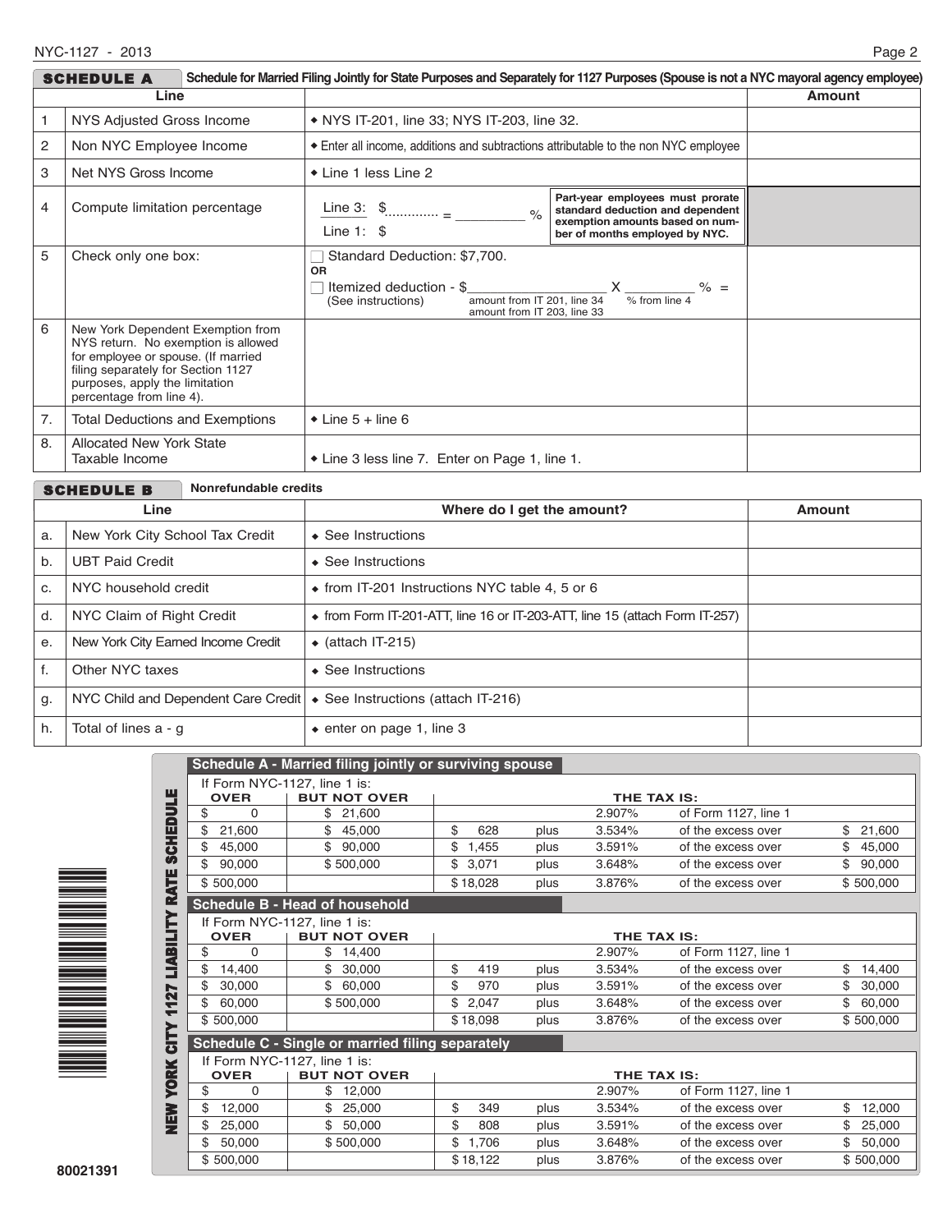| Schedule for Married Filing Jointly for State Purposes and Separately for 1127 Purposes (Spouse is not a NYC mayoral agency employee)<br><b>SCHEDULE A</b> |                                                                                                                                                                                                                     |                                                                                                                                                          |                                                                                                                                           |  |  |  |
|------------------------------------------------------------------------------------------------------------------------------------------------------------|---------------------------------------------------------------------------------------------------------------------------------------------------------------------------------------------------------------------|----------------------------------------------------------------------------------------------------------------------------------------------------------|-------------------------------------------------------------------------------------------------------------------------------------------|--|--|--|
| Line                                                                                                                                                       |                                                                                                                                                                                                                     |                                                                                                                                                          | <b>Amount</b>                                                                                                                             |  |  |  |
|                                                                                                                                                            | NYS Adjusted Gross Income                                                                                                                                                                                           | • NYS IT-201, line 33; NYS IT-203, line 32.                                                                                                              |                                                                                                                                           |  |  |  |
| 2                                                                                                                                                          | Non NYC Employee Income                                                                                                                                                                                             | Enter all income, additions and subtractions attributable to the non NYC employee                                                                        |                                                                                                                                           |  |  |  |
| 3                                                                                                                                                          | Net NYS Gross Income                                                                                                                                                                                                | • Line 1 less Line 2                                                                                                                                     |                                                                                                                                           |  |  |  |
| 4                                                                                                                                                          | Compute limitation percentage                                                                                                                                                                                       | Line 3: $\frac{1}{2}$<br>$\frac{6}{6}$<br>Line $1:$ \$                                                                                                   | Part-year employees must prorate<br>standard deduction and dependent<br>exemption amounts based on num-<br>ber of months employed by NYC. |  |  |  |
| 5                                                                                                                                                          | Check only one box:                                                                                                                                                                                                 | Standard Deduction: \$7,700.<br><b>OR</b><br>Itemized deduction - \$<br>amount from IT 201. line 34<br>(See instructions)<br>amount from IT 203, line 33 | $X$ ____________ % =<br>$%$ from line 4                                                                                                   |  |  |  |
| 6                                                                                                                                                          | New York Dependent Exemption from<br>NYS return. No exemption is allowed<br>for employee or spouse. (If married<br>filing separately for Section 1127<br>purposes, apply the limitation<br>percentage from line 4). |                                                                                                                                                          |                                                                                                                                           |  |  |  |
| 7.                                                                                                                                                         | <b>Total Deductions and Exemptions</b>                                                                                                                                                                              | $\bullet$ Line 5 + line 6                                                                                                                                |                                                                                                                                           |  |  |  |
| 8.                                                                                                                                                         | <b>Allocated New York State</b><br>Taxable Income                                                                                                                                                                   | • Line 3 less line 7. Enter on Page 1, line 1.                                                                                                           |                                                                                                                                           |  |  |  |

|      | Nonrefundable credits<br><b>SCHEDULE B</b>                                           |                                                                                     |               |  |  |  |  |
|------|--------------------------------------------------------------------------------------|-------------------------------------------------------------------------------------|---------------|--|--|--|--|
| Line |                                                                                      | Where do I get the amount?                                                          | <b>Amount</b> |  |  |  |  |
| a.   | New York City School Tax Credit                                                      | $\triangle$ See Instructions                                                        |               |  |  |  |  |
| b.   | <b>UBT Paid Credit</b>                                                               | $\bullet$ See Instructions                                                          |               |  |  |  |  |
| C.   | NYC household credit                                                                 | $\bullet$ from IT-201 Instructions NYC table 4, 5 or 6                              |               |  |  |  |  |
| d.   | NYC Claim of Right Credit                                                            | $\bullet$ from Form IT-201-ATT, line 16 or IT-203-ATT, line 15 (attach Form IT-257) |               |  |  |  |  |
| e.   | New York City Earned Income Credit                                                   | $\bullet$ (attach IT-215)                                                           |               |  |  |  |  |
| f.   | Other NYC taxes                                                                      | $\triangle$ See Instructions                                                        |               |  |  |  |  |
| g.   | NYC Child and Dependent Care Credit $\cdot \bullet$ See Instructions (attach IT-216) |                                                                                     |               |  |  |  |  |
| h.   | Total of lines a - q                                                                 | $\bullet$ enter on page 1, line 3                                                   |               |  |  |  |  |



|                      |                                                  | Schedule A - Married filing jointly or surviving spouse |                    |          |      |        |                      |    |           |
|----------------------|--------------------------------------------------|---------------------------------------------------------|--------------------|----------|------|--------|----------------------|----|-----------|
| ш                    |                                                  | If Form NYC-1127, line 1 is:                            |                    |          |      |        |                      |    |           |
|                      | <b>OVER</b>                                      | <b>BUT NOT OVER</b>                                     | THE TAX IS:        |          |      |        |                      |    |           |
| <b>HudeHas</b><br>\$ | 0                                                | 21,600<br>\$.                                           |                    |          |      | 2.907% | of Form 1127, line 1 |    |           |
| \$                   | 21,600                                           | \$<br>45,000                                            | \$                 | 628      | plus | 3.534% | of the excess over   | \$ | 21,600    |
| \$                   | 45,000                                           | \$<br>90,000                                            | \$                 | 1,455    | plus | 3.591% | of the excess over   | \$ | 45,000    |
| \$                   | 90,000                                           | \$500,000                                               | \$                 | 3,071    | plus | 3.648% | of the excess over   | \$ | 90,000    |
| <b>BATE</b>          | \$500,000                                        |                                                         |                    | \$18,028 | plus | 3.876% | of the excess over   |    | \$500,000 |
|                      |                                                  | <b>Schedule B - Head of household</b>                   |                    |          |      |        |                      |    |           |
|                      |                                                  | If Form NYC-1127, line 1 is:                            |                    |          |      |        |                      |    |           |
|                      | <b>OVER</b>                                      | <b>BUT NOT OVER</b>                                     |                    |          |      |        | THE TAX IS:          |    |           |
| \$                   | $\Omega$                                         | \$<br>14,400                                            |                    |          |      | 2.907% | of Form 1127, line 1 |    |           |
| LIABILITY<br>\$      | 14,400                                           | 30,000                                                  | \$                 | 419      | plus | 3.534% | of the excess over   | \$ | 14,400    |
| \$<br>27             | 30,000                                           | \$<br>60,000                                            | \$                 | 970      | plus | 3.591% | of the excess over   | \$ | 30,000    |
| \$<br>╤<br>÷         | 60,000                                           | \$500,000                                               | \$                 | 2,047    | plus | 3.648% | of the excess over   | \$ | 60,000    |
| ≻                    | \$500,000                                        |                                                         |                    | \$18,098 | plus | 3.876% | of the excess over   |    | \$500,000 |
| <u> 5</u>            | Schedule C - Single or married filing separately |                                                         |                    |          |      |        |                      |    |           |
|                      | If Form NYC-1127, line 1 is:                     |                                                         |                    |          |      |        |                      |    |           |
|                      | <b>OVER</b>                                      | <b>BUT NOT OVER</b>                                     | <b>THE TAX IS:</b> |          |      |        |                      |    |           |
| <b>XEOJ</b><br>\$    | $\Omega$                                         | \$<br>12,000                                            |                    |          |      | 2.907% | of Form 1127, line 1 |    |           |
| i<br>Die S<br>\$     | 12,000                                           | 25,000                                                  | \$                 | 349      | plus | 3.534% | of the excess over   | \$ | 12,000    |
|                      | 25,000                                           | \$<br>50,000                                            | \$                 | 808      | plus | 3.591% | of the excess over   | \$ | 25,000    |
|                      | 50,000                                           | \$500,000                                               | \$                 | 1.706    | plus | 3.648% | of the excess over   | \$ | 50,000    |
|                      | \$500,000                                        |                                                         |                    | \$18,122 | plus | 3.876% | of the excess over   |    | \$500,000 |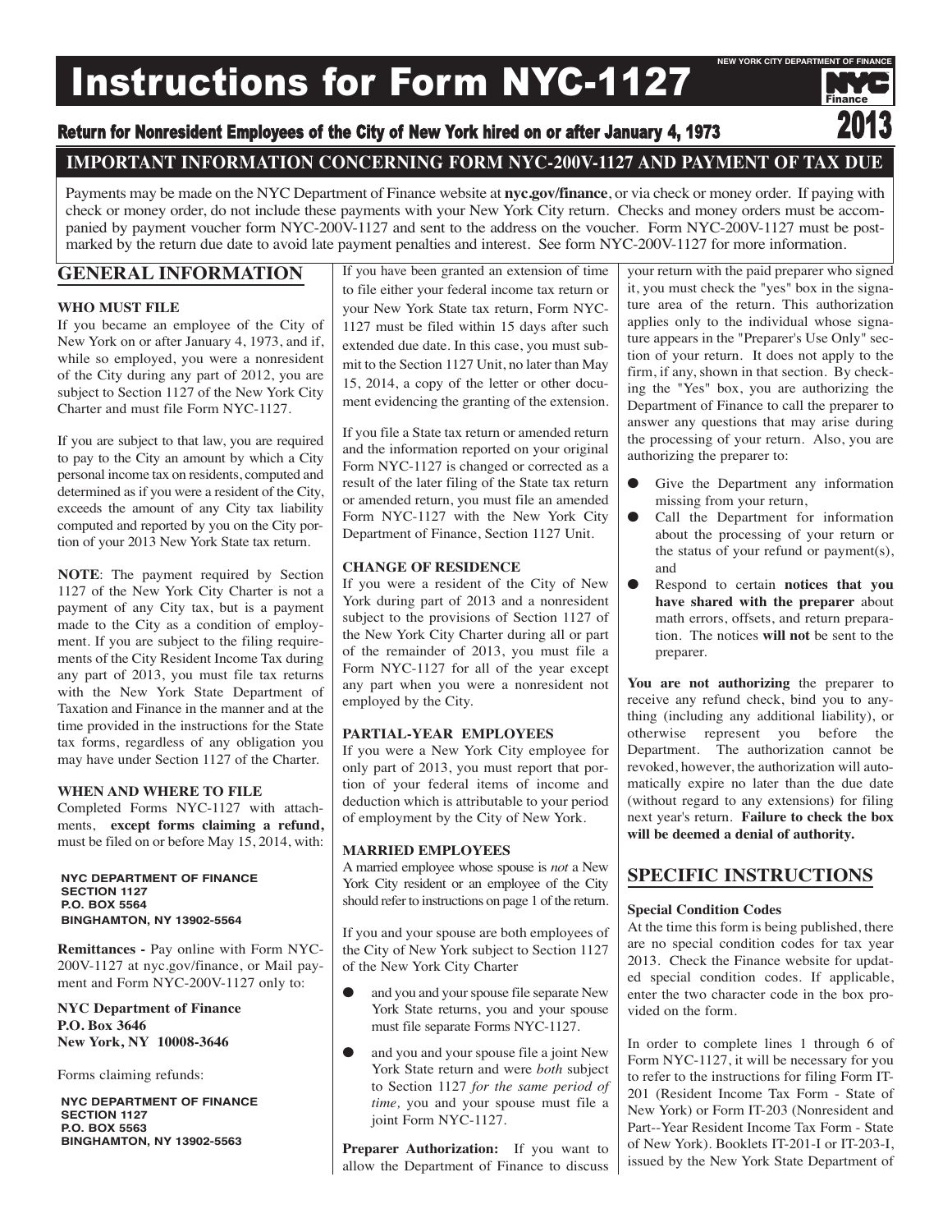# Instructions for Form NYC-1127

# Return for Nonresident Employees of the City of New York hired on or after January 4, 1973

# **IMPORTANT INFORMATION CONCERNING FORM NYC-200V-1127 AND PAYMENT OF TAX DUE**

Payments may be made on the NYC Department of Finance website at **nyc.gov/finance**, or via check or money order. If paying with check or money order, do not include these payments with your New York City return. Checks and money orders must be accompanied by payment voucher form NYC-200V-1127 and sent to the address on the voucher. Form NYC-200V-1127 must be postmarked by the return due date to avoid late payment penalties and interest. See form NYC-200V-1127 for more information.

# **GENERAL INFORMATION**

# **WHO MUST FILE**

If you became an employee of the City of New York on or after January 4, 1973, and if, while so employed, you were a nonresident of the City during any part of 2012, you are subject to Section 1127 of the New York City Charter and must file Form NYC-1127.

If you are subject to that law, you are required to pay to the City an amount by which a City personal income tax on residents, computed and determined as if you were a resident of the City, exceeds the amount of any City tax liability computed and reported by you on the City portion of your 2013 New York State tax return.

**NOTE**: The payment required by Section 1127 of the New York City Charter is not a payment of any City tax, but is a payment made to the City as a condition of employment. If you are subject to the filing requirements of the City Resident Income Tax during any part of 2013, you must file tax returns with the New York State Department of Taxation and Finance in the manner and at the time provided in the instructions for the State tax forms, regardless of any obligation you may have under Section 1127 of the Charter.

# **WHEN AND WHERE TO FILE**

Completed Forms NYC-1127 with attachments, **except forms claiming a refund,** must be filed on or before May 15, 2014, with:

**NyC DEPARTMENT oF FINANCE SECTIoN 1127 P.o. box 5564 bINghAMToN, Ny 13902-5564**

**Remittances -** Pay online with Form NYC-200V-1127 at nyc.gov/finance, or Mail payment and Form NYC-200V-1127 only to:

**NYC Department of Finance P.O. Box 3646 New York, NY 10008-3646**

Forms claiming refunds:

**NyC DEPARTMENT oF FINANCE SECTIoN 1127 P.o. box 5563 bINghAMToN, Ny 13902-5563**

If you have been granted an extension of time to file either your federal income tax return or your New York State tax return, Form NYC-1127 must be filed within 15 days after such extended due date. In this case, you must submit to the Section 1127 Unit, no later than May 15, 2014, a copy of the letter or other document evidencing the granting of the extension.

If you file a State tax return or amended return and the information reported on your original Form NYC-1127 is changed or corrected as a result of the later filing of the State tax return or amended return, you must file an amended Form NYC-1127 with the New York City Department of Finance, Section 1127 Unit.

# **CHANGE OF RESIDENCE**

If you were a resident of the City of New York during part of 2013 and a nonresident subject to the provisions of Section 1127 of the New York City Charter during all or part of the remainder of 2013, you must file a Form NYC-1127 for all of the year except any part when you were a nonresident not employed by the City.

# **PARTIAL-YEAR EMPLOYEES**

If you were a New York City employee for only part of 2013, you must report that portion of your federal items of income and deduction which is attributable to your period of employment by the City of New York.

# **MARRIED EMPLOYEES**

A married employee whose spouse is *not* a New York City resident or an employee of the City should refer to instructions on page 1 of the return.

If you and your spouse are both employees of the City of New York subject to Section 1127 of the New York City Charter

- and you and your spouse file separate New York State returns, you and your spouse must file separate Forms NYC-1127.
- and you and your spouse file a joint New York State return and were *both* subject to Section 1127 *for the same period of time,* you and your spouse must file a joint Form NYC-1127.

**Preparer Authorization:** If you want to allow the Department of Finance to discuss your return with the paid preparer who signed it, you must check the "yes" box in the signature area of the return. This authorization applies only to the individual whose signature appears in the "Preparer's Use Only" section of your return. It does not apply to the firm, if any, shown in that section. By checking the "Yes" box, you are authorizing the Department of Finance to call the preparer to answer any questions that may arise during the processing of your return. Also, you are authorizing the preparer to:

Finance

**NEw yoRk CITy DEPARTMENT oF FINANCE**

- Give the Department any information missing from your return,
- Call the Department for information about the processing of your return or the status of your refund or payment(s), and
- Respond to certain **notices that you have shared with the preparer** about math errors, offsets, and return preparation. The notices **will not** be sent to the preparer.

**You are not authorizing** the preparer to receive any refund check, bind you to anything (including any additional liability), or otherwise represent you before the Department. The authorization cannot be revoked, however, the authorization will automatically expire no later than the due date (without regard to any extensions) for filing next year's return. **Failure to check the box will be deemed a denial of authority.**

# **SPECIFIC INSTRUCTIONS**

#### **Special Condition Codes**

At the time this form is being published, there are no special condition codes for tax year 2013. Check the Finance website for updated special condition codes. If applicable, enter the two character code in the box provided on the form.

In order to complete lines 1 through 6 of Form NYC-1127, it will be necessary for you to refer to the instructions for filing Form IT-201 (Resident Income Tax Form - State of New York) or Form IT-203 (Nonresident and Part--Year Resident Income Tax Form - State of New York). Booklets IT-201-I or IT-203-I, issued by the New York State Department of